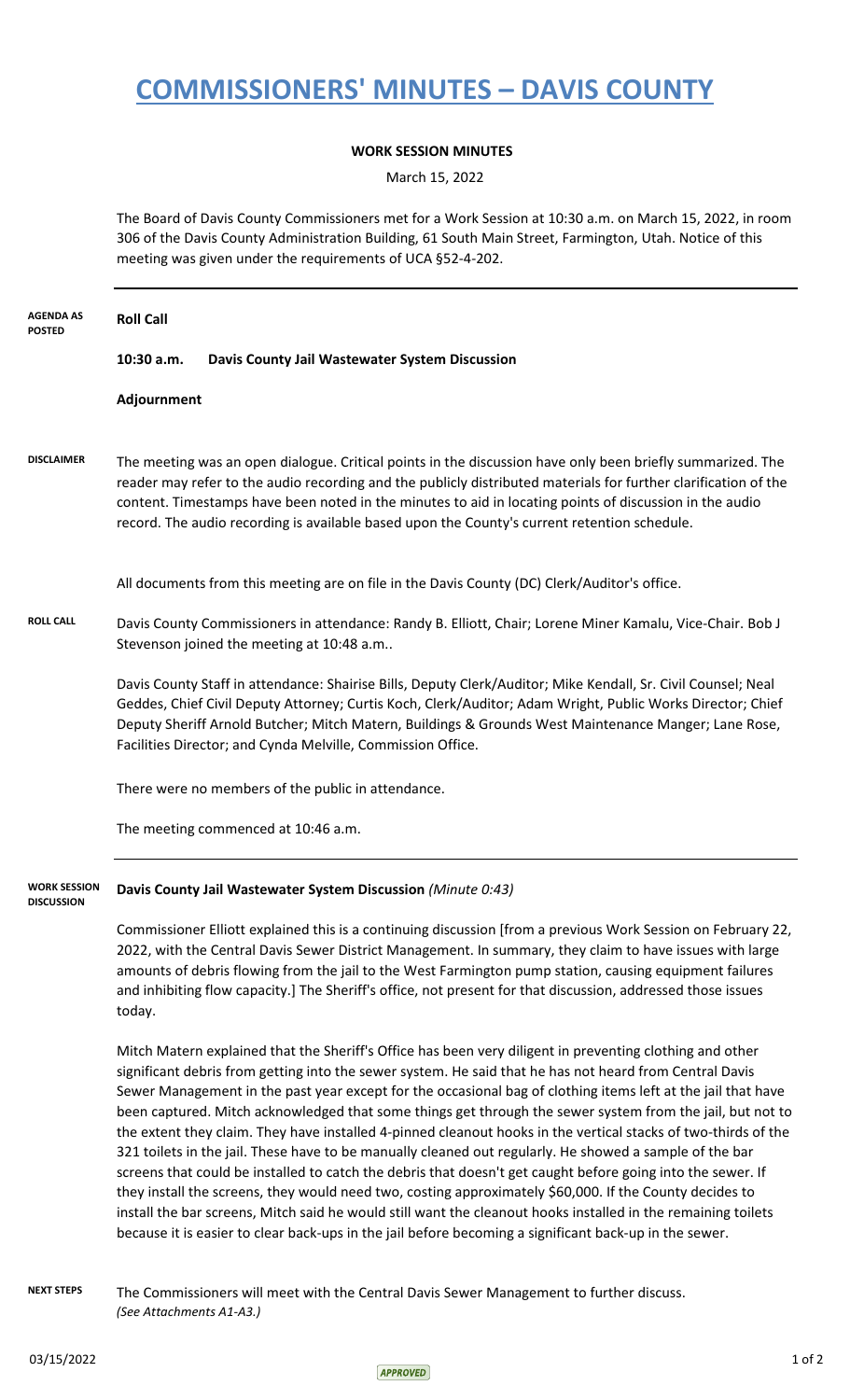## **COMMISSIONERS' MINUTES – DAVIS COUNTY**

## **WORK SESSION MINUTES**

March 15, 2022

The Board of Davis County Commissioners met for a Work Session at 10:30 a.m. on March 15, 2022, in room 306 of the Davis County Administration Building, 61 South Main Street, Farmington, Utah. Notice of this meeting was given under the requirements of UCA §52-4-202.

| <b>AGENDA AS</b><br><b>POSTED</b> | <b>Roll Call</b>                                                                                                                                                                                                                                                                                                                                                                                                                                                                                                                                                                                                                                                                                                                                                                                                                                                                                                                                                                                                                                                                                                                   |                                                                                                                                                                                                                                                                                                                                                                                                                                          |  |
|-----------------------------------|------------------------------------------------------------------------------------------------------------------------------------------------------------------------------------------------------------------------------------------------------------------------------------------------------------------------------------------------------------------------------------------------------------------------------------------------------------------------------------------------------------------------------------------------------------------------------------------------------------------------------------------------------------------------------------------------------------------------------------------------------------------------------------------------------------------------------------------------------------------------------------------------------------------------------------------------------------------------------------------------------------------------------------------------------------------------------------------------------------------------------------|------------------------------------------------------------------------------------------------------------------------------------------------------------------------------------------------------------------------------------------------------------------------------------------------------------------------------------------------------------------------------------------------------------------------------------------|--|
|                                   | 10:30 a.m.                                                                                                                                                                                                                                                                                                                                                                                                                                                                                                                                                                                                                                                                                                                                                                                                                                                                                                                                                                                                                                                                                                                         | Davis County Jail Wastewater System Discussion                                                                                                                                                                                                                                                                                                                                                                                           |  |
|                                   | Adjournment                                                                                                                                                                                                                                                                                                                                                                                                                                                                                                                                                                                                                                                                                                                                                                                                                                                                                                                                                                                                                                                                                                                        |                                                                                                                                                                                                                                                                                                                                                                                                                                          |  |
| <b>DISCLAIMER</b>                 |                                                                                                                                                                                                                                                                                                                                                                                                                                                                                                                                                                                                                                                                                                                                                                                                                                                                                                                                                                                                                                                                                                                                    | The meeting was an open dialogue. Critical points in the discussion have only been briefly summarized. The<br>reader may refer to the audio recording and the publicly distributed materials for further clarification of the<br>content. Timestamps have been noted in the minutes to aid in locating points of discussion in the audio<br>record. The audio recording is available based upon the County's current retention schedule. |  |
|                                   |                                                                                                                                                                                                                                                                                                                                                                                                                                                                                                                                                                                                                                                                                                                                                                                                                                                                                                                                                                                                                                                                                                                                    | All documents from this meeting are on file in the Davis County (DC) Clerk/Auditor's office.                                                                                                                                                                                                                                                                                                                                             |  |
| <b>ROLL CALL</b>                  | Davis County Commissioners in attendance: Randy B. Elliott, Chair; Lorene Miner Kamalu, Vice-Chair. Bob J<br>Stevenson joined the meeting at 10:48 a.m                                                                                                                                                                                                                                                                                                                                                                                                                                                                                                                                                                                                                                                                                                                                                                                                                                                                                                                                                                             |                                                                                                                                                                                                                                                                                                                                                                                                                                          |  |
|                                   | Davis County Staff in attendance: Shairise Bills, Deputy Clerk/Auditor; Mike Kendall, Sr. Civil Counsel; Neal<br>Geddes, Chief Civil Deputy Attorney; Curtis Koch, Clerk/Auditor; Adam Wright, Public Works Director; Chief<br>Deputy Sheriff Arnold Butcher; Mitch Matern, Buildings & Grounds West Maintenance Manger; Lane Rose,<br>Facilities Director; and Cynda Melville, Commission Office.                                                                                                                                                                                                                                                                                                                                                                                                                                                                                                                                                                                                                                                                                                                                 |                                                                                                                                                                                                                                                                                                                                                                                                                                          |  |
|                                   | There were no members of the public in attendance.                                                                                                                                                                                                                                                                                                                                                                                                                                                                                                                                                                                                                                                                                                                                                                                                                                                                                                                                                                                                                                                                                 |                                                                                                                                                                                                                                                                                                                                                                                                                                          |  |
|                                   |                                                                                                                                                                                                                                                                                                                                                                                                                                                                                                                                                                                                                                                                                                                                                                                                                                                                                                                                                                                                                                                                                                                                    | The meeting commenced at 10:46 a.m.                                                                                                                                                                                                                                                                                                                                                                                                      |  |
| WORK SESSION<br><b>DISCUSSION</b> |                                                                                                                                                                                                                                                                                                                                                                                                                                                                                                                                                                                                                                                                                                                                                                                                                                                                                                                                                                                                                                                                                                                                    | Davis County Jail Wastewater System Discussion (Minute 0:43)                                                                                                                                                                                                                                                                                                                                                                             |  |
|                                   | Commissioner Elliott explained this is a continuing discussion [from a previous Work Session on February 22,<br>2022, with the Central Davis Sewer District Management. In summary, they claim to have issues with large<br>amounts of debris flowing from the jail to the West Farmington pump station, causing equipment failures<br>and inhibiting flow capacity.] The Sheriff's office, not present for that discussion, addressed those issues<br>today.                                                                                                                                                                                                                                                                                                                                                                                                                                                                                                                                                                                                                                                                      |                                                                                                                                                                                                                                                                                                                                                                                                                                          |  |
|                                   | Mitch Matern explained that the Sheriff's Office has been very diligent in preventing clothing and other<br>significant debris from getting into the sewer system. He said that he has not heard from Central Davis<br>Sewer Management in the past year except for the occasional bag of clothing items left at the jail that have<br>been captured. Mitch acknowledged that some things get through the sewer system from the jail, but not to<br>the extent they claim. They have installed 4-pinned cleanout hooks in the vertical stacks of two-thirds of the<br>321 toilets in the jail. These have to be manually cleaned out regularly. He showed a sample of the bar<br>screens that could be installed to catch the debris that doesn't get caught before going into the sewer. If<br>they install the screens, they would need two, costing approximately \$60,000. If the County decides to<br>install the bar screens, Mitch said he would still want the cleanout hooks installed in the remaining toilets<br>because it is easier to clear back-ups in the jail before becoming a significant back-up in the sewer. |                                                                                                                                                                                                                                                                                                                                                                                                                                          |  |
| <b>NEXT STEPS</b>                 | (See Attachments A1-A3.)                                                                                                                                                                                                                                                                                                                                                                                                                                                                                                                                                                                                                                                                                                                                                                                                                                                                                                                                                                                                                                                                                                           | The Commissioners will meet with the Central Davis Sewer Management to further discuss.                                                                                                                                                                                                                                                                                                                                                  |  |